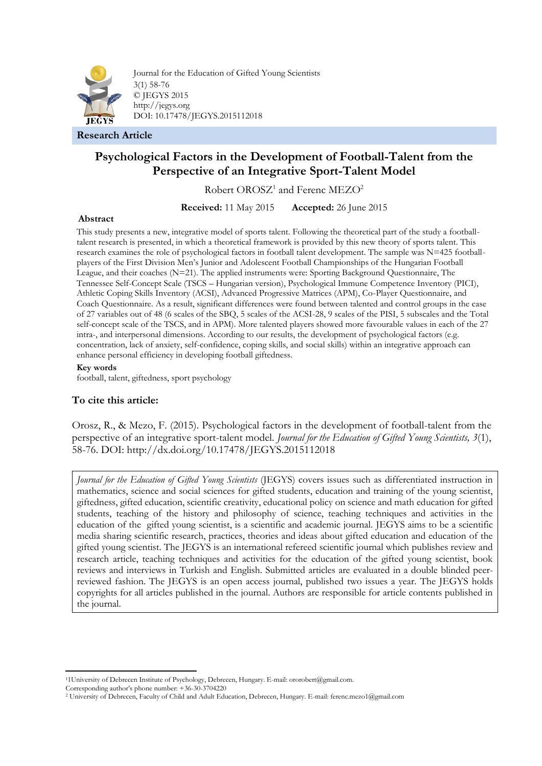

Journal for the Education of Gifted Young Scientists 3(1) 58-76 © JEGYS 2015 http://jegys.org DOI: 10.17478/JEGYS.2015112018

**Research Article**

# **Psychological Factors in the Development of Football-Talent from the Perspective of an Integrative Sport-Talent Model**

Robert OROSZ<sup>1</sup> and Ferenc MEZO<sup>2</sup>

**Received:** 11 May 2015 **Accepted:** 26 June 2015

### **Abstract**

This study presents a new, integrative model of sports talent. Following the theoretical part of the study a footballtalent research is presented, in which a theoretical framework is provided by this new theory of sports talent. This research examines the role of psychological factors in football talent development. The sample was N=425 footballplayers of the First Division Men's Junior and Adolescent Football Championships of the Hungarian Football League, and their coaches (N=21). The applied instruments were: Sporting Background Questionnaire, The Tennessee Self-Concept Scale (TSCS – Hungarian version), Psychological Immune Competence Inventory (PICI), Athletic Coping Skills Inventory (ACSI), Advanced Progressive Matrices (APM), Co-Player Questionnaire, and Coach Questionnaire. As a result, significant differences were found between talented and control groups in the case of 27 variables out of 48 (6 scales of the SBQ, 5 scales of the ACSI-28, 9 scales of the PISI, 5 subscales and the Total self-concept scale of the TSCS, and in APM). More talented players showed more favourable values in each of the 27 intra-, and interpersonal dimensions. According to our results, the development of psychological factors (e.g. concentration, lack of anxiety, self-confidence, coping skills, and social skills) within an integrative approach can enhance personal efficiency in developing football giftedness.

### **Key words**

football, talent, giftedness, sport psychology

# **To cite this article:**

Orosz, R., & Mezo, F. (2015). Psychological factors in the development of football-talent from the perspective of an integrative sport-talent model. *Journal for the Education of Gifted Young Scientists, 3*(1), 58-76. DOI: http://dx.doi.org/10.17478/JEGYS.2015112018

*Journal for the Education of Gifted Young Scientists* (JEGYS) covers issues such as differentiated instruction in mathematics, science and social sciences for gifted students, education and training of the young scientist, giftedness, gifted education, scientific creativity, educational policy on science and math education for gifted students, teaching of the history and philosophy of science, teaching techniques and activities in the education of the gifted young scientist, is a scientific and academic journal. JEGYS aims to be a scientific media sharing scientific research, practices, theories and ideas about gifted education and education of the gifted young scientist. The JEGYS is an international refereed scientific journal which publishes review and research article, teaching techniques and activities for the education of the gifted young scientist, book reviews and interviews in Turkish and English. Submitted articles are evaluated in a double blinded peerreviewed fashion. The JEGYS is an open access journal, published two issues a year. The JEGYS holds copyrights for all articles published in the journal. Authors are responsible for article contents published in the journal.

1

<sup>1</sup>1University of Debrecen Institute of Psychology, Debrecen, Hungary. E-mail: ororobert@gmail.com.

Corresponding author's phone number: +36-30-3704220

<sup>2</sup> University of Debrecen, Faculty of Child and Adult Education, Debrecen, Hungary. E-mail: ferenc.mezo1@gmail.com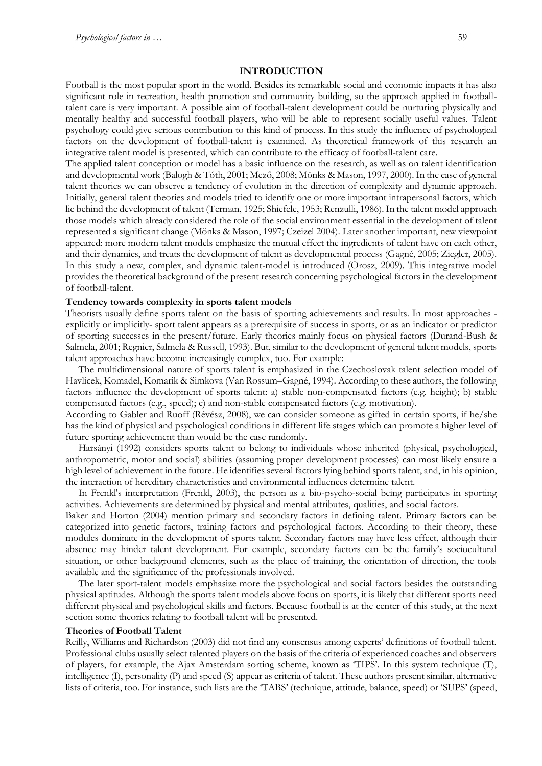### **INTRODUCTION**

Football is the most popular sport in the world. Besides its remarkable social and economic impacts it has also significant role in recreation, health promotion and community building, so the approach applied in footballtalent care is very important. A possible aim of football-talent development could be nurturing physically and mentally healthy and successful football players, who will be able to represent socially useful values. Talent psychology could give serious contribution to this kind of process. In this study the influence of psychological factors on the development of football-talent is examined. As theoretical framework of this research an integrative talent model is presented, which can contribute to the efficacy of football-talent care.

The applied talent conception or model has a basic influence on the research, as well as on talent identification and developmental work (Balogh & Tóth, 2001; Mező, 2008; Mönks & Mason, 1997, 2000). In the case of general talent theories we can observe a tendency of evolution in the direction of complexity and dynamic approach. Initially, general talent theories and models tried to identify one or more important intrapersonal factors, which lie behind the development of talent (Terman, 1925; Shiefele, 1953; Renzulli, 1986). In the talent model approach those models which already considered the role of the social environment essential in the development of talent represented a significant change (Mönks & Mason, 1997; Czeizel 2004). Later another important, new viewpoint appeared: more modern talent models emphasize the mutual effect the ingredients of talent have on each other, and their dynamics, and treats the development of talent as developmental process (Gagné, 2005; Ziegler, 2005). In this study a new, complex, and dynamic talent-model is introduced (Orosz, 2009). This integrative model provides the theoretical background of the present research concerning psychological factors in the development of football-talent.

#### **Tendency towards complexity in sports talent models**

Theorists usually define sports talent on the basis of sporting achievements and results. In most approaches explicitly or implicitly- sport talent appears as a prerequisite of success in sports, or as an indicator or predictor of sporting successes in the present/future. Early theories mainly focus on physical factors (Durand-Bush & Salmela, 2001; Regnier, Salmela & Russell, 1993). But, similar to the development of general talent models, sports talent approaches have become increasingly complex, too. For example:

The multidimensional nature of sports talent is emphasized in the Czechoslovak talent selection model of Havlicek, Komadel, Komarik & Simkova (Van Rossum–Gagné, 1994). According to these authors, the following factors influence the development of sports talent: a) stable non-compensated factors (e.g. height); b) stable compensated factors (e.g., speed); c) and non-stable compensated factors (e.g. motivation).

According to Gabler and Ruoff (Révész, 2008), we can consider someone as gifted in certain sports, if he/she has the kind of physical and psychological conditions in different life stages which can promote a higher level of future sporting achievement than would be the case randomly.

Harsányi (1992) considers sports talent to belong to individuals whose inherited (physical, psychological, anthropometric, motor and social) abilities (assuming proper development processes) can most likely ensure a high level of achievement in the future. He identifies several factors lying behind sports talent, and, in his opinion, the interaction of hereditary characteristics and environmental influences determine talent.

In Frenkl's interpretation (Frenkl, 2003), the person as a bio-psycho-social being participates in sporting activities. Achievements are determined by physical and mental attributes, qualities, and social factors.

Baker and Horton (2004) mention primary and secondary factors in defining talent. Primary factors can be categorized into genetic factors, training factors and psychological factors. According to their theory, these modules dominate in the development of sports talent. Secondary factors may have less effect, although their absence may hinder talent development. For example, secondary factors can be the family's sociocultural situation, or other background elements, such as the place of training, the orientation of direction, the tools available and the significance of the professionals involved.

The later sport-talent models emphasize more the psychological and social factors besides the outstanding physical aptitudes. Although the sports talent models above focus on sports, it is likely that different sports need different physical and psychological skills and factors. Because football is at the center of this study, at the next section some theories relating to football talent will be presented.

#### **Theories of Football Talent**

Reilly, Williams and Richardson (2003) did not find any consensus among experts' definitions of football talent. Professional clubs usually select talented players on the basis of the criteria of experienced coaches and observers of players, for example, the Ajax Amsterdam sorting scheme, known as 'TIPS'. In this system technique (T), intelligence (I), personality (P) and speed (S) appear as criteria of talent. These authors present similar, alternative lists of criteria, too. For instance, such lists are the 'TABS' (technique, attitude, balance, speed) or 'SUPS' (speed,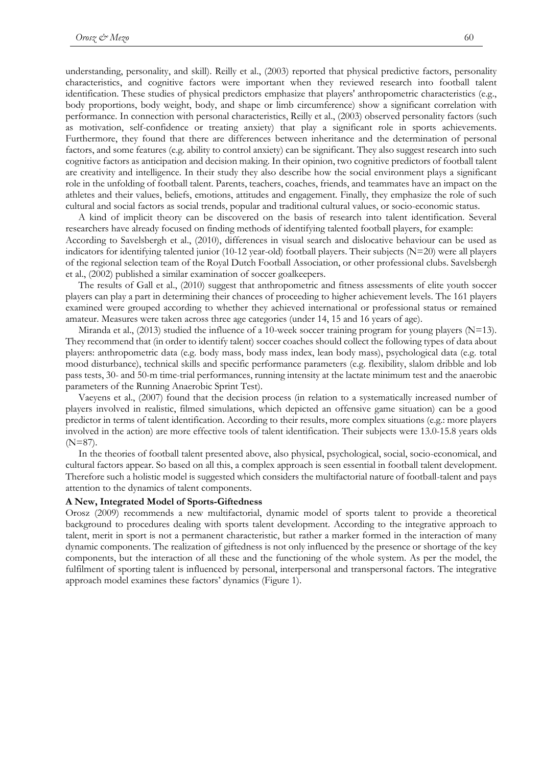understanding, personality, and skill). Reilly et al., (2003) reported that physical predictive factors, personality characteristics, and cognitive factors were important when they reviewed research into football talent identification. These studies of physical predictors emphasize that players' anthropometric characteristics (e.g., body proportions, body weight, body, and shape or limb circumference) show a significant correlation with performance. In connection with personal characteristics, Reilly et al., (2003) observed personality factors (such as motivation, self-confidence or treating anxiety) that play a significant role in sports achievements. Furthermore, they found that there are differences between inheritance and the determination of personal factors, and some features (e.g. ability to control anxiety) can be significant. They also suggest research into such cognitive factors as anticipation and decision making. In their opinion, two cognitive predictors of football talent are creativity and intelligence. In their study they also describe how the social environment plays a significant role in the unfolding of football talent. Parents, teachers, coaches, friends, and teammates have an impact on the athletes and their values, beliefs, emotions, attitudes and engagement. Finally, they emphasize the role of such cultural and social factors as social trends, popular and traditional cultural values, or socio-economic status.

A kind of implicit theory can be discovered on the basis of research into talent identification. Several researchers have already focused on finding methods of identifying talented football players, for example: According to Savelsbergh et al., (2010), differences in visual search and dislocative behaviour can be used as indicators for identifying talented junior (10-12 year-old) football players. Their subjects  $(N=20)$  were all players of the regional selection team of the Royal Dutch Football Association, or other professional clubs. Savelsbergh

et al., (2002) published a similar examination of soccer goalkeepers. The results of Gall et al., (2010) suggest that anthropometric and fitness assessments of elite youth soccer players can play a part in determining their chances of proceeding to higher achievement levels. The 161 players examined were grouped according to whether they achieved international or professional status or remained amateur. Measures were taken across three age categories (under 14, 15 and 16 years of age).

Miranda et al., (2013) studied the influence of a 10-week soccer training program for young players (N=13). They recommend that (in order to identify talent) soccer coaches should collect the following types of data about players: anthropometric data (e.g. body mass, body mass index, lean body mass), psychological data (e.g. total mood disturbance), technical skills and specific performance parameters (e.g. flexibility, slalom dribble and lob pass tests, 30- and 50-m time-trial performances, running intensity at the lactate minimum test and the anaerobic parameters of the Running Anaerobic Sprint Test).

Vaeyens et al., (2007) found that the decision process (in relation to a systematically increased number of players involved in realistic, filmed simulations, which depicted an offensive game situation) can be a good predictor in terms of talent identification. According to their results, more complex situations (e.g.: more players involved in the action) are more effective tools of talent identification. Their subjects were 13.0-15.8 years olds  $(N=87)$ .

In the theories of football talent presented above, also physical, psychological, social, socio-economical, and cultural factors appear. So based on all this, a complex approach is seen essential in football talent development. Therefore such a holistic model is suggested which considers the multifactorial nature of football-talent and pays attention to the dynamics of talent components.

### **A New, Integrated Model of Sports-Giftedness**

Orosz (2009) recommends a new multifactorial, dynamic model of sports talent to provide a theoretical background to procedures dealing with sports talent development. According to the integrative approach to talent, merit in sport is not a permanent characteristic, but rather a marker formed in the interaction of many dynamic components. The realization of giftedness is not only influenced by the presence or shortage of the key components, but the interaction of all these and the functioning of the whole system. As per the model, the fulfilment of sporting talent is influenced by personal, interpersonal and transpersonal factors. The integrative approach model examines these factors' dynamics (Figure 1).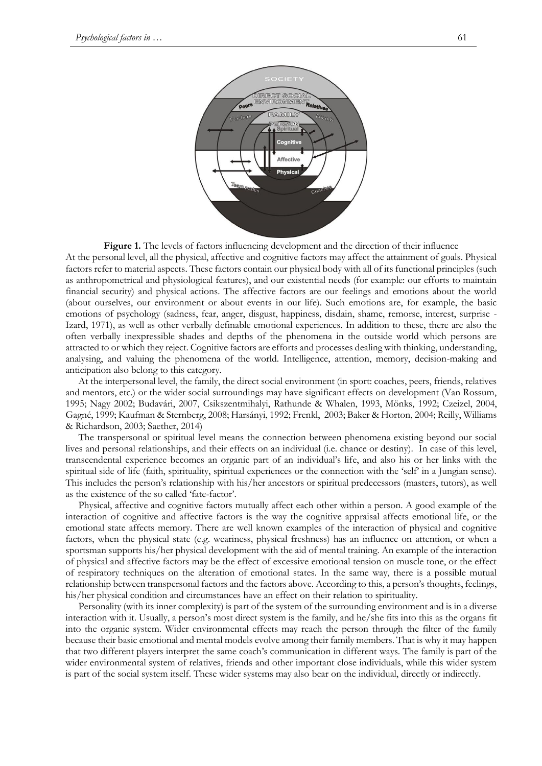

**Figure 1.** The levels of factors influencing development and the direction of their influence At the personal level, all the physical, affective and cognitive factors may affect the attainment of goals. Physical factors refer to material aspects. These factors contain our physical body with all of its functional principles (such as anthropometrical and physiological features), and our existential needs (for example: our efforts to maintain financial security) and physical actions. The affective factors are our feelings and emotions about the world (about ourselves, our environment or about events in our life). Such emotions are, for example, the basic emotions of psychology (sadness, fear, anger, disgust, happiness, disdain, shame, remorse, interest, surprise - Izard, 1971), as well as other verbally definable emotional experiences. In addition to these, there are also the often verbally inexpressible shades and depths of the phenomena in the outside world which persons are attracted to or which they reject. Cognitive factors are efforts and processes dealing with thinking, understanding, analysing, and valuing the phenomena of the world. Intelligence, attention, memory, decision-making and anticipation also belong to this category.

At the interpersonal level, the family, the direct social environment (in sport: coaches, peers, friends, relatives and mentors, etc.) or the wider social surroundings may have significant effects on development (Van Rossum, 1995; Nagy 2002; Budavári, 2007, Csikszentmihalyi, Rathunde & Whalen, 1993, Mönks, 1992; Czeizel, 2004, Gagné, 1999; Kaufman & Sternberg, 2008; Harsányi, 1992; Frenkl, 2003; Baker & Horton, 2004; Reilly, Williams & Richardson, 2003; Saether, 2014)

The transpersonal or spiritual level means the connection between phenomena existing beyond our social lives and personal relationships, and their effects on an individual (i.e. chance or destiny). In case of this level, transcendental experience becomes an organic part of an individual's life, and also his or her links with the spiritual side of life (faith, spirituality, spiritual experiences or the connection with the 'self' in a Jungian sense). This includes the person's relationship with his/her ancestors or spiritual predecessors (masters, tutors), as well as the existence of the so called 'fate-factor'.

Physical, affective and cognitive factors mutually affect each other within a person. A good example of the interaction of cognitive and affective factors is the way the cognitive appraisal affects emotional life, or the emotional state affects memory. There are well known examples of the interaction of physical and cognitive factors, when the physical state (e.g. weariness, physical freshness) has an influence on attention, or when a sportsman supports his/her physical development with the aid of mental training. An example of the interaction of physical and affective factors may be the effect of excessive emotional tension on muscle tone, or the effect of respiratory techniques on the alteration of emotional states. In the same way, there is a possible mutual relationship between transpersonal factors and the factors above. According to this, a person's thoughts, feelings, his/her physical condition and circumstances have an effect on their relation to spirituality.

Personality (with its inner complexity) is part of the system of the surrounding environment and is in a diverse interaction with it. Usually, a person's most direct system is the family, and he/she fits into this as the organs fit into the organic system. Wider environmental effects may reach the person through the filter of the family because their basic emotional and mental models evolve among their family members. That is why it may happen that two different players interpret the same coach's communication in different ways. The family is part of the wider environmental system of relatives, friends and other important close individuals, while this wider system is part of the social system itself. These wider systems may also bear on the individual, directly or indirectly.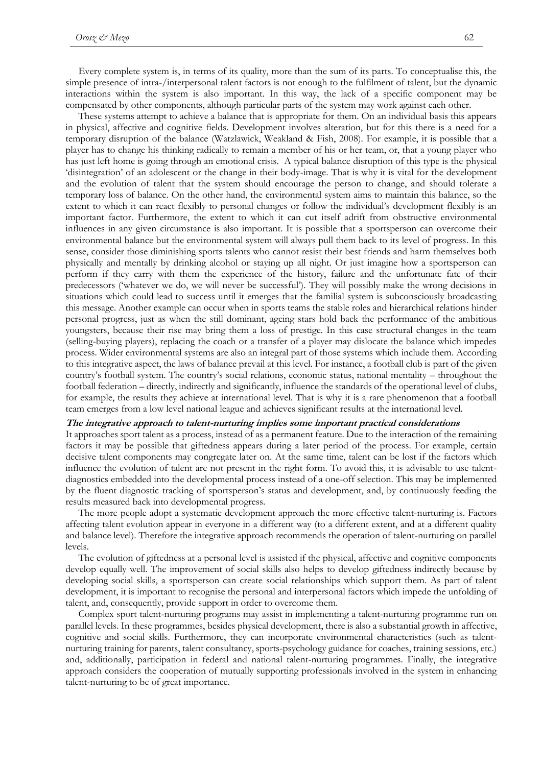Every complete system is, in terms of its quality, more than the sum of its parts. To conceptualise this, the simple presence of intra-/interpersonal talent factors is not enough to the fulfilment of talent, but the dynamic interactions within the system is also important. In this way, the lack of a specific component may be compensated by other components, although particular parts of the system may work against each other.

These systems attempt to achieve a balance that is appropriate for them. On an individual basis this appears in physical, affective and cognitive fields. Development involves alteration, but for this there is a need for a temporary disruption of the balance (Watzlawick, Weakland & Fish, 2008). For example, it is possible that a player has to change his thinking radically to remain a member of his or her team, or, that a young player who has just left home is going through an emotional crisis. A typical balance disruption of this type is the physical 'disintegration' of an adolescent or the change in their body-image. That is why it is vital for the development and the evolution of talent that the system should encourage the person to change, and should tolerate a temporary loss of balance. On the other hand, the environmental system aims to maintain this balance, so the extent to which it can react flexibly to personal changes or follow the individual's development flexibly is an important factor. Furthermore, the extent to which it can cut itself adrift from obstructive environmental influences in any given circumstance is also important. It is possible that a sportsperson can overcome their environmental balance but the environmental system will always pull them back to its level of progress. In this sense, consider those diminishing sports talents who cannot resist their best friends and harm themselves both physically and mentally by drinking alcohol or staying up all night. Or just imagine how a sportsperson can perform if they carry with them the experience of the history, failure and the unfortunate fate of their predecessors ('whatever we do, we will never be successful'). They will possibly make the wrong decisions in situations which could lead to success until it emerges that the familial system is subconsciously broadcasting this message. Another example can occur when in sports teams the stable roles and hierarchical relations hinder personal progress, just as when the still dominant, ageing stars hold back the performance of the ambitious youngsters, because their rise may bring them a loss of prestige. In this case structural changes in the team (selling-buying players), replacing the coach or a transfer of a player may dislocate the balance which impedes process. Wider environmental systems are also an integral part of those systems which include them. According to this integrative aspect, the laws of balance prevail at this level. For instance, a football club is part of the given country's football system. The country's social relations, economic status, national mentality – throughout the football federation – directly, indirectly and significantly, influence the standards of the operational level of clubs, for example, the results they achieve at international level. That is why it is a rare phenomenon that a football team emerges from a low level national league and achieves significant results at the international level.

### **The integrative approach to talent-nurturing implies some important practical considerations**

It approaches sport talent as a process, instead of as a permanent feature. Due to the interaction of the remaining factors it may be possible that giftedness appears during a later period of the process. For example, certain decisive talent components may congregate later on. At the same time, talent can be lost if the factors which influence the evolution of talent are not present in the right form. To avoid this, it is advisable to use talentdiagnostics embedded into the developmental process instead of a one-off selection. This may be implemented by the fluent diagnostic tracking of sportsperson's status and development, and, by continuously feeding the results measured back into developmental progress.

The more people adopt a systematic development approach the more effective talent-nurturing is. Factors affecting talent evolution appear in everyone in a different way (to a different extent, and at a different quality and balance level). Therefore the integrative approach recommends the operation of talent-nurturing on parallel levels.

The evolution of giftedness at a personal level is assisted if the physical, affective and cognitive components develop equally well. The improvement of social skills also helps to develop giftedness indirectly because by developing social skills, a sportsperson can create social relationships which support them. As part of talent development, it is important to recognise the personal and interpersonal factors which impede the unfolding of talent, and, consequently, provide support in order to overcome them.

Complex sport talent-nurturing programs may assist in implementing a talent-nurturing programme run on parallel levels. In these programmes, besides physical development, there is also a substantial growth in affective, cognitive and social skills. Furthermore, they can incorporate environmental characteristics (such as talentnurturing training for parents, talent consultancy, sports-psychology guidance for coaches, training sessions, etc.) and, additionally, participation in federal and national talent-nurturing programmes. Finally, the integrative approach considers the cooperation of mutually supporting professionals involved in the system in enhancing talent-nurturing to be of great importance.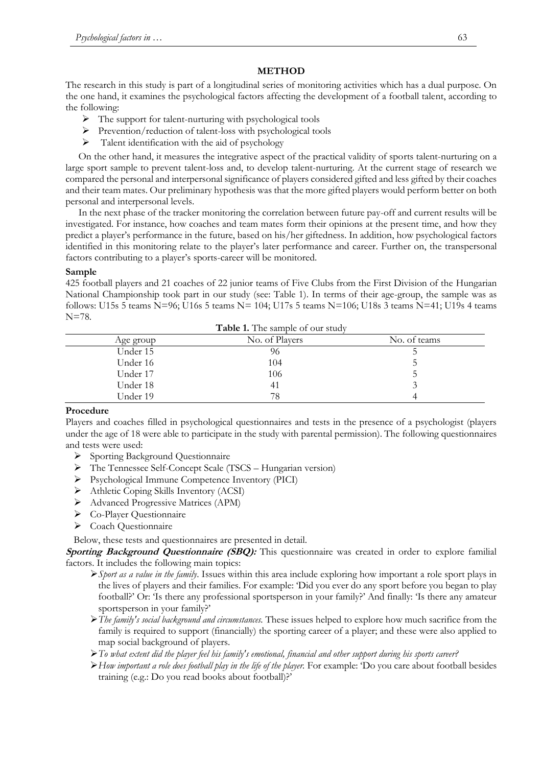# **METHOD**

The research in this study is part of a longitudinal series of monitoring activities which has a dual purpose. On the one hand, it examines the psychological factors affecting the development of a football talent, according to the following:

- $\triangleright$  The support for talent-nurturing with psychological tools
- $\triangleright$  Prevention/reduction of talent-loss with psychological tools
- $\triangleright$  Talent identification with the aid of psychology

On the other hand, it measures the integrative aspect of the practical validity of sports talent-nurturing on a large sport sample to prevent talent-loss and, to develop talent-nurturing. At the current stage of research we compared the personal and interpersonal significance of players considered gifted and less gifted by their coaches and their team mates. Our preliminary hypothesis was that the more gifted players would perform better on both personal and interpersonal levels.

In the next phase of the tracker monitoring the correlation between future pay-off and current results will be investigated. For instance, how coaches and team mates form their opinions at the present time, and how they predict a player's performance in the future, based on his/her giftedness. In addition, how psychological factors identified in this monitoring relate to the player's later performance and career. Further on, the transpersonal factors contributing to a player's sports-career will be monitored.

# **Sample**

425 football players and 21 coaches of 22 junior teams of Five Clubs from the First Division of the Hungarian National Championship took part in our study (see: Table 1). In terms of their age-group, the sample was as follows: U15s 5 teams N=96; U16s 5 teams N= 104; U17s 5 teams N=106; U18s 3 teams N=41; U19s 4 teams N=78.

| <b>Table 1.</b> The sample of our study |                |              |  |  |  |
|-----------------------------------------|----------------|--------------|--|--|--|
| Age group                               | No. of Players | No. of teams |  |  |  |
| Under 15                                | 96             |              |  |  |  |
| Under 16                                | 104            |              |  |  |  |
| Under 17                                | 106            |              |  |  |  |
| Under 18                                | 41             |              |  |  |  |
| Under 19                                | 78             |              |  |  |  |

### **Procedure**

Players and coaches filled in psychological questionnaires and tests in the presence of a psychologist (players under the age of 18 were able to participate in the study with parental permission). The following questionnaires and tests were used:

- $\triangleright$  Sporting Background Questionnaire
- The Tennessee Self-Concept Scale (TSCS Hungarian version)
- Psychological Immune Competence Inventory (PICI)
- Athletic Coping Skills Inventory (ACSI)
- Advanced Progressive Matrices (APM)
- Co-Player Questionnaire
- ▶ Coach Questionnaire

Below, these tests and questionnaires are presented in detail.

**Sporting Background Questionnaire (SBQ):** This questionnaire was created in order to explore familial factors. It includes the following main topics:

- *Sport as a value in the family*. Issues within this area include exploring how important a role sport plays in the lives of players and their families. For example: 'Did you ever do any sport before you began to play football?' Or: 'Is there any professional sportsperson in your family?' And finally: 'Is there any amateur sportsperson in your family?'
- *The family's social background and circumstances.* These issues helped to explore how much sacrifice from the family is required to support (financially) the sporting career of a player; and these were also applied to map social background of players.
- *To what extent did the player feel his family's emotional, financial and other support during his sports career?*
- *How important a role does football play in the life of the player.* For example: 'Do you care about football besides training (e.g.: Do you read books about football)?'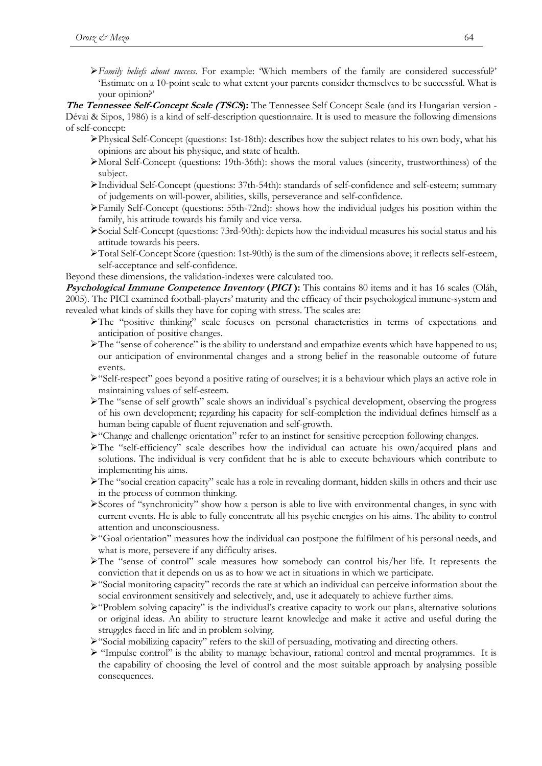*Family beliefs about success*. For example: 'Which members of the family are considered successful?' 'Estimate on a 10-point scale to what extent your parents consider themselves to be successful. What is your opinion?'

**The Tennessee Self-Concept Scale (TSCS):** The Tennessee Self Concept Scale (and its Hungarian version - Dévai & Sipos, 1986) is a kind of self-description questionnaire. It is used to measure the following dimensions of self-concept:

- $\triangleright$ Physical Self-Concept (questions: 1st-18th): describes how the subject relates to his own body, what his opinions are about his physique, and state of health.
- Moral Self-Concept (questions: 19th-36th): shows the moral values (sincerity, trustworthiness) of the subject.
- Individual Self-Concept (questions: 37th-54th): standards of self-confidence and self-esteem; summary of judgements on will-power, abilities, skills, perseverance and self-confidence.
- Family Self-Concept (questions: 55th-72nd): shows how the individual judges his position within the family, his attitude towards his family and vice versa.
- Social Self-Concept (questions: 73rd-90th): depicts how the individual measures his social status and his attitude towards his peers.
- Total Self-Concept Score (question: 1st-90th) is the sum of the dimensions above; it reflects self-esteem, self-acceptance and self-confidence.

Beyond these dimensions, the validation-indexes were calculated too.

**Psychological Immune Competence Inventory (PICI):** This contains 80 items and it has 16 scales (Oláh, 2005). The PICI examined football-players' maturity and the efficacy of their psychological immune-system and revealed what kinds of skills they have for coping with stress. The scales are:

- The "positive thinking" scale focuses on personal characteristics in terms of expectations and anticipation of positive changes.
- The "sense of coherence" is the ability to understand and empathize events which have happened to us; our anticipation of environmental changes and a strong belief in the reasonable outcome of future events.
- "Self-respect" goes beyond a positive rating of ourselves; it is a behaviour which plays an active role in maintaining values of self-esteem.
- The "sense of self growth" scale shows an individual`s psychical development, observing the progress of his own development; regarding his capacity for self-completion the individual defines himself as a human being capable of fluent rejuvenation and self-growth.
- $\blacktriangleright$  "Change and challenge orientation" refer to an instinct for sensitive perception following changes.
- The "self-efficiency" scale describes how the individual can actuate his own/acquired plans and solutions. The individual is very confident that he is able to execute behaviours which contribute to implementing his aims.
- The "social creation capacity" scale has a role in revealing dormant, hidden skills in others and their use in the process of common thinking.
- Scores of "synchronicity" show how a person is able to live with environmental changes, in sync with current events. He is able to fully concentrate all his psychic energies on his aims. The ability to control attention and unconsciousness.
- "Goal orientation" measures how the individual can postpone the fulfilment of his personal needs, and what is more, persevere if any difficulty arises.
- The "sense of control" scale measures how somebody can control his/her life. It represents the conviction that it depends on us as to how we act in situations in which we participate.
- $\triangleright$  "Social monitoring capacity" records the rate at which an individual can perceive information about the social environment sensitively and selectively, and, use it adequately to achieve further aims.
- $\triangleright$  "Problem solving capacity" is the individual's creative capacity to work out plans, alternative solutions or original ideas. An ability to structure learnt knowledge and make it active and useful during the struggles faced in life and in problem solving.
- "Social mobilizing capacity" refers to the skill of persuading, motivating and directing others.
- $\triangleright$  "Impulse control" is the ability to manage behaviour, rational control and mental programmes. It is the capability of choosing the level of control and the most suitable approach by analysing possible consequences.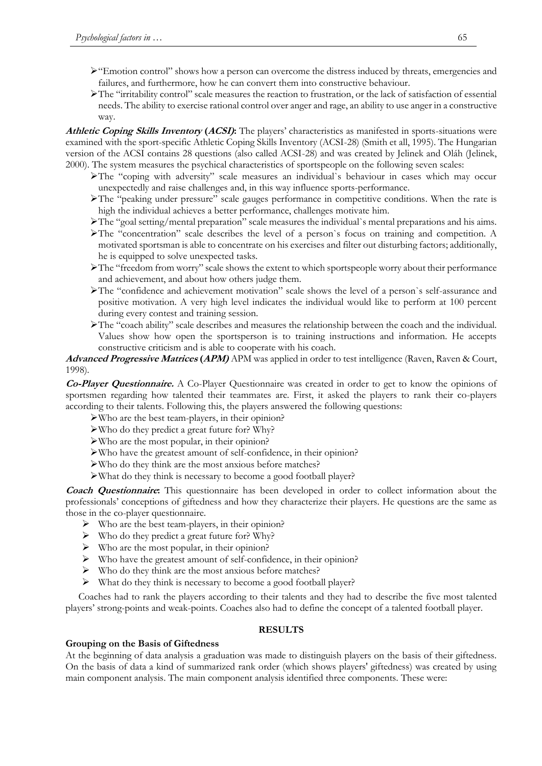- $\geq$  "Emotion control" shows how a person can overcome the distress induced by threats, emergencies and failures, and furthermore, how he can convert them into constructive behaviour.
- The "irritability control" scale measures the reaction to frustration, or the lack of satisfaction of essential needs. The ability to exercise rational control over anger and rage, an ability to use anger in a constructive way.

**Athletic Coping Skills Inventory (ACSI):** The players' characteristics as manifested in sports-situations were examined with the sport-specific Athletic Coping Skills Inventory (ACSI-28) (Smith et all, 1995). The Hungarian version of the ACSI contains 28 questions (also called ACSI-28) and was created by Jelinek and Oláh (Jelinek, 2000). The system measures the psychical characteristics of sportspeople on the following seven scales:

- The "coping with adversity" scale measures an individual`s behaviour in cases which may occur unexpectedly and raise challenges and, in this way influence sports-performance.
- The "peaking under pressure" scale gauges performance in competitive conditions. When the rate is high the individual achieves a better performance, challenges motivate him.
- The "goal setting/mental preparation" scale measures the individual`s mental preparations and his aims.
- The "concentration" scale describes the level of a person`s focus on training and competition. A motivated sportsman is able to concentrate on his exercises and filter out disturbing factors; additionally, he is equipped to solve unexpected tasks.
- The "freedom from worry" scale shows the extent to which sportspeople worry about their performance and achievement, and about how others judge them.
- The "confidence and achievement motivation" scale shows the level of a person`s self-assurance and positive motivation. A very high level indicates the individual would like to perform at 100 percent during every contest and training session.
- The "coach ability" scale describes and measures the relationship between the coach and the individual. Values show how open the sportsperson is to training instructions and information. He accepts constructive criticism and is able to cooperate with his coach.

**Advanced Progressive Matrices (APM)** APM was applied in order to test intelligence (Raven, Raven & Court, 1998)*.*

**Co-Player Questionnaire.** A Co-Player Questionnaire was created in order to get to know the opinions of sportsmen regarding how talented their teammates are. First, it asked the players to rank their co-players according to their talents. Following this, the players answered the following questions:

- Who are the best team-players, in their opinion?
- Who do they predict a great future for? Why?
- Who are the most popular, in their opinion?
- Who have the greatest amount of self-confidence, in their opinion?
- Who do they think are the most anxious before matches?
- What do they think is necessary to become a good football player?

**Coach Questionnaire:** This questionnaire has been developed in order to collect information about the professionals' conceptions of giftedness and how they characterize their players. He questions are the same as those in the co-player questionnaire.

- $\triangleright$  Who are the best team-players, in their opinion?
- Who do they predict a great future for? Why?
- $\triangleright$  Who are the most popular, in their opinion?
- $\triangleright$  Who have the greatest amount of self-confidence, in their opinion?
- $\triangleright$  Who do they think are the most anxious before matches?
- $\triangleright$  What do they think is necessary to become a good football player?

Coaches had to rank the players according to their talents and they had to describe the five most talented players' strong-points and weak-points. Coaches also had to define the concept of a talented football player.

### **RESULTS**

### **Grouping on the Basis of Giftedness**

At the beginning of data analysis a graduation was made to distinguish players on the basis of their giftedness. On the basis of data a kind of summarized rank order (which shows players' giftedness) was created by using main component analysis. The main component analysis identified three components. These were: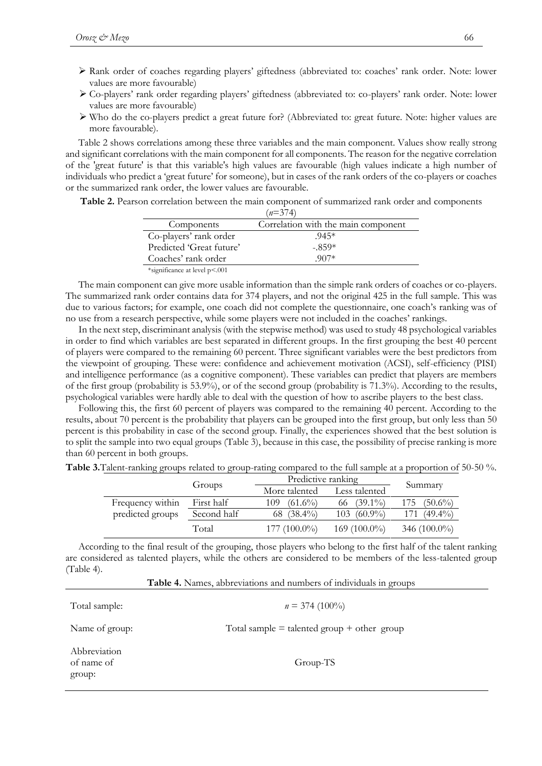- Rank order of coaches regarding players' giftedness (abbreviated to: coaches' rank order. Note: lower values are more favourable)
- Co-players' rank order regarding players' giftedness (abbreviated to: co-players' rank order. Note: lower values are more favourable)
- $\triangleright$  Who do the co-players predict a great future for? (Abbreviated to: great future. Note: higher values are more favourable).

Table 2 shows correlations among these three variables and the main component. Values show really strong and significant correlations with the main component for all components. The reason for the negative correlation of the 'great future' is that this variable's high values are favourable (high values indicate a high number of individuals who predict a 'great future' for someone), but in cases of the rank orders of the co-players or coaches or the summarized rank order, the lower values are favourable.

**Table 2.** Pearson correlation between the main component of summarized rank order and components

|                               | $(n=374)$                           |
|-------------------------------|-------------------------------------|
| Components                    | Correlation with the main component |
| Co-players' rank order        | $.945*$                             |
| Predicted 'Great future'      | $-.859*$                            |
| Coaches' rank order           | $907*$                              |
| *significance at level p<.001 |                                     |

The main component can give more usable information than the simple rank orders of coaches or co-players. The summarized rank order contains data for 374 players, and not the original 425 in the full sample. This was due to various factors; for example, one coach did not complete the questionnaire, one coach's ranking was of no use from a research perspective, while some players were not included in the coaches' rankings.

In the next step, discriminant analysis (with the stepwise method) was used to study 48 psychological variables in order to find which variables are best separated in different groups. In the first grouping the best 40 percent of players were compared to the remaining 60 percent. Three significant variables were the best predictors from the viewpoint of grouping. These were: confidence and achievement motivation (ACSI), self-efficiency (PISI) and intelligence performance (as a cognitive component). These variables can predict that players are members of the first group (probability is 53.9%), or of the second group (probability is 71.3%). According to the results, psychological variables were hardly able to deal with the question of how to ascribe players to the best class.

Following this, the first 60 percent of players was compared to the remaining 40 percent. According to the results, about 70 percent is the probability that players can be grouped into the first group, but only less than 50 percent is this probability in case of the second group. Finally, the experiences showed that the best solution is to split the sample into two equal groups (Table 3), because in this case, the possibility of precise ranking is more than 60 percent in both groups.

**Table 3.**Talent-ranking groups related to group-rating compared to the full sample at a proportion of 50-50 %.

|                  |             | Predictive ranking |                  |                   |
|------------------|-------------|--------------------|------------------|-------------------|
|                  | Groups      | More talented      | Less talented    | Summary           |
| Frequency within | First half  | $(61.6\%)$<br>109  | 66 $(39.1\%)$    | 175<br>$(50.6\%)$ |
| predicted groups | Second half | 68 $(38.4\%)$      | $103 \ (60.9\%)$ | $(49.4\%)$<br>171 |
|                  | Total       | $177(100.0\%)$     | 169 $(100.0\%)$  | 346 $(100.0\%)$   |

According to the final result of the grouping, those players who belong to the first half of the talent ranking are considered as talented players, while the others are considered to be members of the less-talented group (Table 4).

**Table 4.** Names, abbreviations and numbers of individuals in groups

| Total sample:                        | $n = 374 (100\%)$                               |
|--------------------------------------|-------------------------------------------------|
| Name of group:                       | Total sample $=$ talented group $+$ other group |
| Abbreviation<br>of name of<br>group: | Group-TS                                        |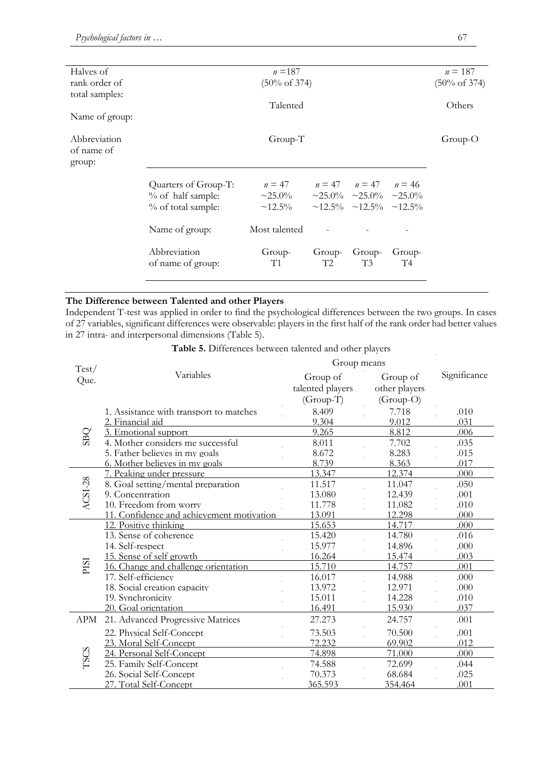| Halves of      | $n = 187$                |                                                     |                |                          | $n = 187$      |           |
|----------------|--------------------------|-----------------------------------------------------|----------------|--------------------------|----------------|-----------|
| rank order of  | $(50\% \text{ of } 374)$ |                                                     |                | $(50\% \text{ of } 374)$ |                |           |
| total samples: |                          |                                                     |                |                          |                |           |
|                |                          | Talented                                            |                |                          |                | Others    |
| Name of group: |                          |                                                     |                |                          |                |           |
|                |                          |                                                     |                |                          |                |           |
| Abbreviation   |                          | Group-T                                             |                |                          |                | $Group-O$ |
| of name of     |                          |                                                     |                |                          |                |           |
| group:         |                          |                                                     |                |                          |                |           |
|                | Quarters of Group-T:     | $n = 47$ $n = 47$ $n = 47$ $n = 46$                 |                |                          |                |           |
|                | % of half sample:        | $\sim$ 25.0% $\sim$ 25.0% $\sim$ 25.0% $\sim$ 25.0% |                |                          |                |           |
|                | % of total sample:       | $\sim$ 12.5% $\sim$ 12.5% $\sim$ 12.5% $\sim$ 12.5% |                |                          |                |           |
|                |                          |                                                     |                |                          |                |           |
|                | Name of group:           | Most talented                                       |                |                          |                |           |
|                |                          |                                                     |                |                          |                |           |
|                | Abbreviation             | Group-                                              | Group-         | Group-                   | Group-         |           |
|                | of name of group:        | T1                                                  | T <sub>2</sub> | T3                       | T <sub>4</sub> |           |
|                |                          |                                                     |                |                          |                |           |

# **The Difference between Talented and other Players**

Independent T-test was applied in order to find the psychological differences between the two groups. In cases of 27 variables, significant differences were observable: players in the first half of the rank order had better values in 27 intra- and interpersonal dimensions (Table 5).

|               | <b>radic 9.</b> Differences between talented and other players | Group means      |               |              |
|---------------|----------------------------------------------------------------|------------------|---------------|--------------|
| Test/<br>Que. | Variables                                                      | Group of         | Group of      | Significance |
|               |                                                                | talented players | other players |              |
|               |                                                                | $(Group-T)$      | $(Group-O)$   |              |
|               | 1. Assistance with transport to matches                        | 8.409            | 7.718         | .010         |
|               | 2. Financial aid                                               | 9.304            | 9.012         | .031         |
| <b>SBQ</b>    | 3. Emotional support                                           | 9.265            | 8.812         | .006         |
|               | 4. Mother considers me successful                              | 8.011            | 7.702         | .035         |
|               | 5. Father believes in my goals                                 | 8.672            | 8.283         | .015         |
|               | 6. Mother believes in my goals                                 | 8.739            | 8.363         | .017         |
|               | 7. Peaking under pressure                                      | 13.347           | 12.374        | .000         |
| ACSI-28       | 8. Goal setting/mental preparation                             | 11.517           | 11.047        | .050         |
|               | 9. Concentration                                               | 13.080           | 12.439        | .001         |
|               | 10. Freedom from worry                                         | 11.778           | 11.082        | .010         |
|               | 11. Confidence and achievement motivation                      | 13.091           | 12.298        | .000         |
|               | 12. Positive thinking                                          | 15.653           | 14.717        | .000         |
|               | 13. Sense of coherence                                         | 15.420           | 14.780        | .016         |
|               | 14. Self-respect                                               | 15.977           | 14.896        | .000         |
|               | 15. Sense of self growth                                       | 16.264           | 15.474        | .003         |
| ESId          | 16. Change and challenge orientation                           | 15.710           | 14.757        | .001         |
|               | 17. Self-efficiency                                            | 16.017           | 14.988        | .000         |
|               | 18. Social creation capacity                                   | 13.972           | 12.971        | .000         |
|               | 19. Synchronicity                                              | 15.011           | 14.228        | .010         |
|               | 20. Goal orientation                                           | 16.491           | 15.930        | .037         |
| <b>APM</b>    | 21. Advanced Progressive Matrices                              | 27.273           | 24.757        | .001         |
|               | 22. Physical Self-Concept                                      | 73.503           | 70.500        | .001         |
| <b>TSCS</b>   | 23. Moral Self-Concept                                         | 72.232           | 69.902        | .012         |
|               | 24. Personal Self-Concept                                      | 74.898           | 71.000        | .000         |
|               | 25. Family Self-Concept                                        | 74.588           | 72.699        | .044         |
|               | 26. Social Self-Concept                                        | 70.373           | 68.684        | .025         |
|               | 27. Total Self-Concept                                         | 365.593          | 354.464       | .001         |

**Table 5.** Differences between talented and other players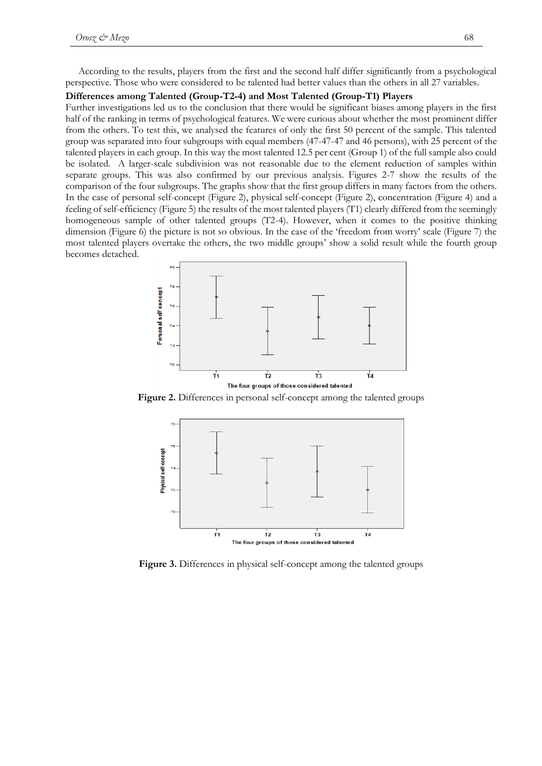According to the results, players from the first and the second half differ significantly from a psychological perspective. Those who were considered to be talented had better values than the others in all 27 variables.

### **Differences among Talented (Group-T2-4) and Most Talented (Group-T1) Players**

Further investigations led us to the conclusion that there would be significant biases among players in the first half of the ranking in terms of psychological features. We were curious about whether the most prominent differ from the others. To test this, we analysed the features of only the first 50 percent of the sample. This talented group was separated into four subgroups with equal members (47-47-47 and 46 persons), with 25 percent of the talented players in each group. In this way the most talented 12.5 per cent (Group 1) of the full sample also could be isolated. A larger-scale subdivision was not reasonable due to the element reduction of samples within separate groups. This was also confirmed by our previous analysis. Figures 2-7 show the results of the comparison of the four subgroups. The graphs show that the first group differs in many factors from the others. In the case of personal self-concept (Figure 2), physical self-concept (Figure 2), concentration (Figure 4) and a feeling of self-efficiency (Figure 5) the results of the most talented players (T1) clearly differed from the seemingly homogeneous sample of other talented groups (T2-4). However, when it comes to the positive thinking dimension (Figure 6) the picture is not so obvious. In the case of the 'freedom from worry' scale (Figure 7) the most talented players overtake the others, the two middle groups' show a solid result while the fourth group becomes detached.



**Figure 2.** Differences in personal self-concept among the talented groups



**Figure 3.** Differences in physical self-concept among the talented groups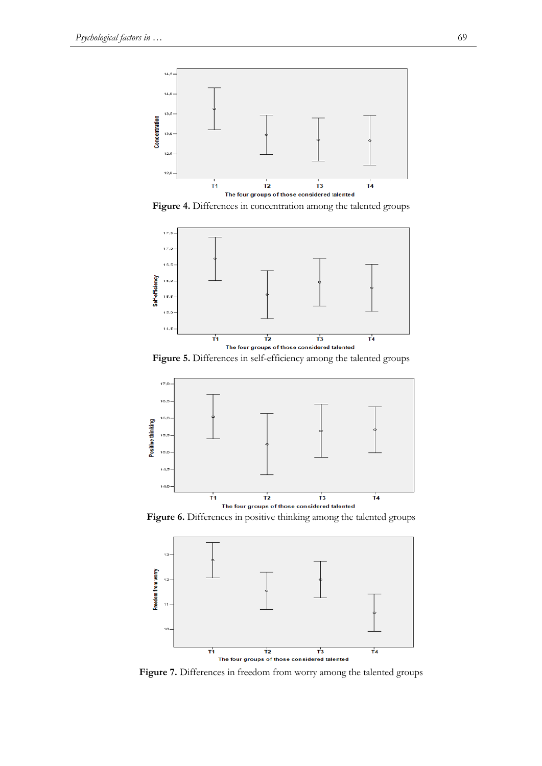

**Figure 4.** Differences in concentration among the talented groups



**Figure 5.** Differences in self-efficiency among the talented groups



**Figure 6.** Differences in positive thinking among the talented groups



**Figure 7.** Differences in freedom from worry among the talented groups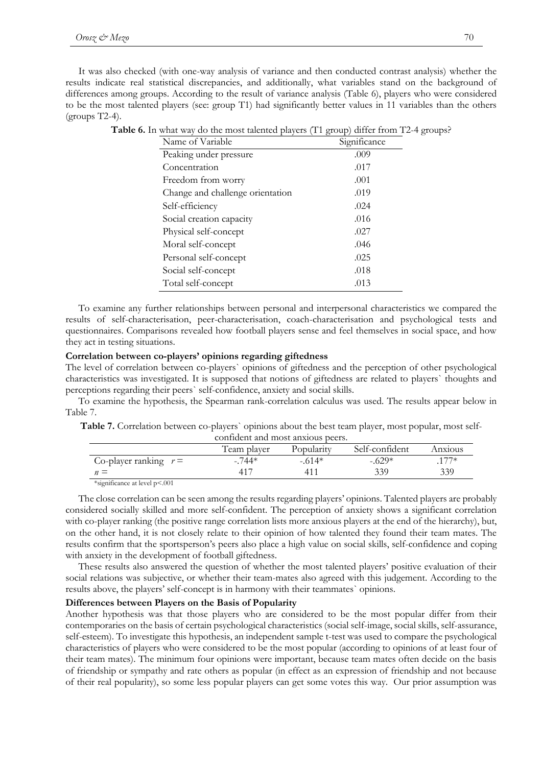It was also checked (with one-way analysis of variance and then conducted contrast analysis) whether the results indicate real statistical discrepancies, and additionally, what variables stand on the background of differences among groups. According to the result of variance analysis (Table 6), players who were considered to be the most talented players (see: group T1) had significantly better values in 11 variables than the others  $(groups T2-4)$ .

| Name of Variable                 | Significance |
|----------------------------------|--------------|
| Peaking under pressure           | .009         |
| Concentration                    | .017         |
| Freedom from worry               | .001         |
| Change and challenge orientation | .019         |
| Self-efficiency                  | .024         |
| Social creation capacity         | .016         |
| Physical self-concept            | .027         |
| Moral self-concept               | .046         |
| Personal self-concept            | .025         |
| Social self-concept              | .018         |
| Total self-concept               | .013         |

|  | Table 6. In what way do the most talented players (T1 group) differ from T2-4 groups? |  |  |  |  |  |
|--|---------------------------------------------------------------------------------------|--|--|--|--|--|
|--|---------------------------------------------------------------------------------------|--|--|--|--|--|

To examine any further relationships between personal and interpersonal characteristics we compared the results of self-characterisation, peer-characterisation, coach-characterisation and psychological tests and questionnaires. Comparisons revealed how football players sense and feel themselves in social space, and how they act in testing situations.

### **Correlation between co-players' opinions regarding giftedness**

The level of correlation between co-players` opinions of giftedness and the perception of other psychological characteristics was investigated. It is supposed that notions of giftedness are related to players` thoughts and perceptions regarding their peers` self-confidence, anxiety and social skills.

To examine the hypothesis, the Spearman rank-correlation calculus was used. The results appear below in Table 7.

Table 7. Correlation between co-players` opinions about the best team player, most popular, most self-

| confident and most anxious peers.                      |          |         |          |        |  |  |
|--------------------------------------------------------|----------|---------|----------|--------|--|--|
| Team player<br>Self-confident<br>Popularity<br>Anxious |          |         |          |        |  |  |
| Co-player ranking $r =$                                | $-.744*$ | $-614*$ | $-.629*$ | $177*$ |  |  |
| $n =$                                                  | $41^-$   |         | 339      | 339    |  |  |
|                                                        |          |         |          |        |  |  |

\*significance at level p<.001

The close correlation can be seen among the results regarding players' opinions. Talented players are probably considered socially skilled and more self-confident. The perception of anxiety shows a significant correlation with co-player ranking (the positive range correlation lists more anxious players at the end of the hierarchy), but, on the other hand, it is not closely relate to their opinion of how talented they found their team mates. The results confirm that the sportsperson's peers also place a high value on social skills, self-confidence and coping with anxiety in the development of football giftedness.

These results also answered the question of whether the most talented players' positive evaluation of their social relations was subjective, or whether their team-mates also agreed with this judgement. According to the results above, the players' self-concept is in harmony with their teammates` opinions.

#### **Differences between Players on the Basis of Popularity**

Another hypothesis was that those players who are considered to be the most popular differ from their contemporaries on the basis of certain psychological characteristics (social self-image, social skills, self-assurance, self-esteem). To investigate this hypothesis, an independent sample t-test was used to compare the psychological characteristics of players who were considered to be the most popular (according to opinions of at least four of their team mates). The minimum four opinions were important, because team mates often decide on the basis of friendship or sympathy and rate others as popular (in effect as an expression of friendship and not because of their real popularity), so some less popular players can get some votes this way. Our prior assumption was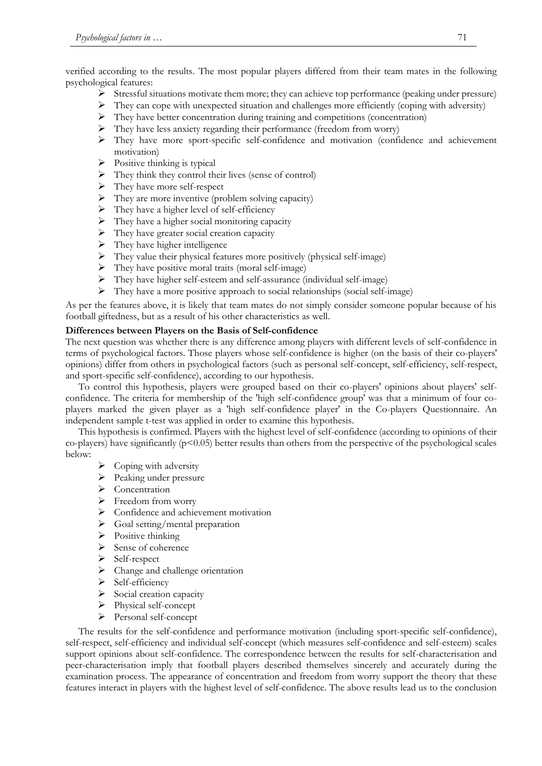verified according to the results. The most popular players differed from their team mates in the following psychological features:

- Stressful situations motivate them more; they can achieve top performance (peaking under pressure)
- $\triangleright$  They can cope with unexpected situation and challenges more efficiently (coping with adversity)
- They have better concentration during training and competitions (concentration)
- $\triangleright$  They have less anxiety regarding their performance (freedom from worry)
- $\triangleright$  They have more sport-specific self-confidence and motivation (confidence and achievement motivation)
- $\triangleright$  Positive thinking is typical
- $\triangleright$  They think they control their lives (sense of control)
- $\triangleright$  They have more self-respect
- $\triangleright$  They are more inventive (problem solving capacity)
- $\triangleright$  They have a higher level of self-efficiency
- $\triangleright$  They have a higher social monitoring capacity
- $\triangleright$  They have greater social creation capacity
- $\triangleright$  They have higher intelligence
- $\triangleright$  They value their physical features more positively (physical self-image)
- $\triangleright$  They have positive moral traits (moral self-image)
- They have higher self-esteem and self-assurance (individual self-image)
- They have a more positive approach to social relationships (social self-image)

As per the features above, it is likely that team mates do not simply consider someone popular because of his football giftedness, but as a result of his other characteristics as well.

### **Differences between Players on the Basis of Self-confidence**

The next question was whether there is any difference among players with different levels of self-confidence in terms of psychological factors. Those players whose self-confidence is higher (on the basis of their co-players' opinions) differ from others in psychological factors (such as personal self-concept, self-efficiency, self-respect, and sport-specific self-confidence), according to our hypothesis.

To control this hypothesis, players were grouped based on their co-players' opinions about players' selfconfidence. The criteria for membership of the 'high self-confidence group' was that a minimum of four coplayers marked the given player as a 'high self-confidence player' in the Co-players Questionnaire. An independent sample t-test was applied in order to examine this hypothesis.

This hypothesis is confirmed. Players with the highest level of self-confidence (according to opinions of their co-players) have significantly  $(p<0.05)$  better results than others from the perspective of the psychological scales below:

- $\triangleright$  Coping with adversity
- $\triangleright$  Peaking under pressure
- Concentration
- $\triangleright$  Freedom from worry
- > Confidence and achievement motivation
- $\triangleright$  Goal setting/mental preparation
- $\triangleright$  Positive thinking
- $\triangleright$  Sense of coherence
- Self-respect
- $\triangleright$  Change and challenge orientation
- $\triangleright$  Self-efficiency
- $\triangleright$  Social creation capacity
- > Physical self-concept
- Personal self-concept

The results for the self-confidence and performance motivation (including sport-specific self-confidence), self-respect, self-efficiency and individual self-concept (which measures self-confidence and self-esteem) scales support opinions about self-confidence. The correspondence between the results for self-characterisation and peer-characterisation imply that football players described themselves sincerely and accurately during the examination process. The appearance of concentration and freedom from worry support the theory that these features interact in players with the highest level of self-confidence. The above results lead us to the conclusion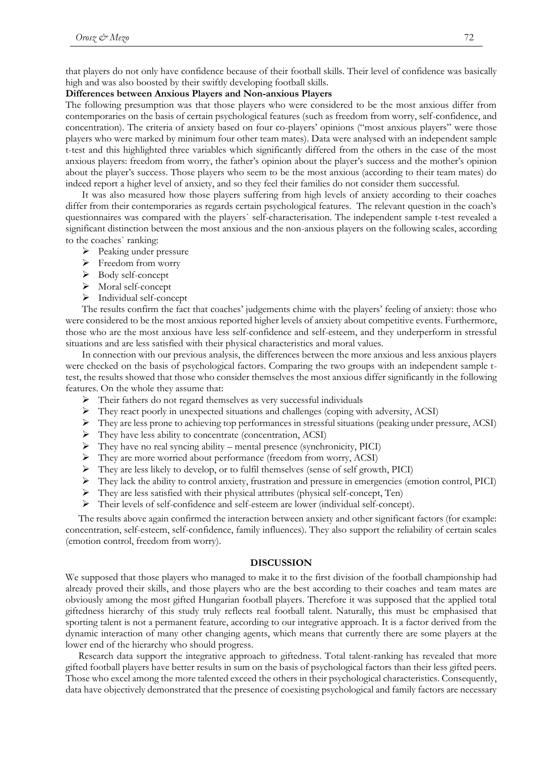that players do not only have confidence because of their football skills. Their level of confidence was basically high and was also boosted by their swiftly developing football skills.

### **Differences between Anxious Players and Non-anxious Players**

The following presumption was that those players who were considered to be the most anxious differ from contemporaries on the basis of certain psychological features (such as freedom from worry, self-confidence, and concentration). The criteria of anxiety based on four co-players' opinions ("most anxious players" were those players who were marked by minimum four other team mates). Data were analysed with an independent sample t-test and this highlighted three variables which significantly differed from the others in the case of the most anxious players: freedom from worry, the father's opinion about the player's success and the mother's opinion about the player's success. Those players who seem to be the most anxious (according to their team mates) do indeed report a higher level of anxiety, and so they feel their families do not consider them successful.

It was also measured how those players suffering from high levels of anxiety according to their coaches differ from their contemporaries as regards certain psychological features. The relevant question in the coach's questionnaires was compared with the players` self-characterisation. The independent sample t-test revealed a significant distinction between the most anxious and the non-anxious players on the following scales, according to the coaches` ranking:

- $\triangleright$  Peaking under pressure
- $\triangleright$  Freedom from worry
- > Body self-concept
- > Moral self-concept
- > Individual self-concept

The results confirm the fact that coaches' judgements chime with the players' feeling of anxiety: those who were considered to be the most anxious reported higher levels of anxiety about competitive events. Furthermore, those who are the most anxious have less self-confidence and self-esteem, and they underperform in stressful situations and are less satisfied with their physical characteristics and moral values.

In connection with our previous analysis, the differences between the more anxious and less anxious players were checked on the basis of psychological factors. Comparing the two groups with an independent sample ttest, the results showed that those who consider themselves the most anxious differ significantly in the following features. On the whole they assume that:

- $\triangleright$  Their fathers do not regard themselves as very successful individuals
- They react poorly in unexpected situations and challenges (coping with adversity, ACSI)
- They are less prone to achieving top performances in stressful situations (peaking under pressure, ACSI)
- They have less ability to concentrate (concentration, ACSI)
- $\triangleright$  They have no real syncing ability mental presence (synchronicity, PICI)
- They are more worried about performance (freedom from worry, ACSI)
- They are less likely to develop, or to fulfil themselves (sense of self growth, PICI)
- They lack the ability to control anxiety, frustration and pressure in emergencies (emotion control, PICI)
- $\triangleright$  They are less satisfied with their physical attributes (physical self-concept, Ten)
- Their levels of self-confidence and self-esteem are lower (individual self-concept).

The results above again confirmed the interaction between anxiety and other significant factors (for example: concentration, self-esteem, self-confidence, family influences). They also support the reliability of certain scales (emotion control, freedom from worry).

### **DISCUSSION**

We supposed that those players who managed to make it to the first division of the football championship had already proved their skills, and those players who are the best according to their coaches and team mates are obviously among the most gifted Hungarian football players. Therefore it was supposed that the applied total giftedness hierarchy of this study truly reflects real football talent. Naturally, this must be emphasised that sporting talent is not a permanent feature, according to our integrative approach. It is a factor derived from the dynamic interaction of many other changing agents, which means that currently there are some players at the lower end of the hierarchy who should progress.

Research data support the integrative approach to giftedness. Total talent-ranking has revealed that more gifted football players have better results in sum on the basis of psychological factors than their less gifted peers. Those who excel among the more talented exceed the others in their psychological characteristics. Consequently, data have objectively demonstrated that the presence of coexisting psychological and family factors are necessary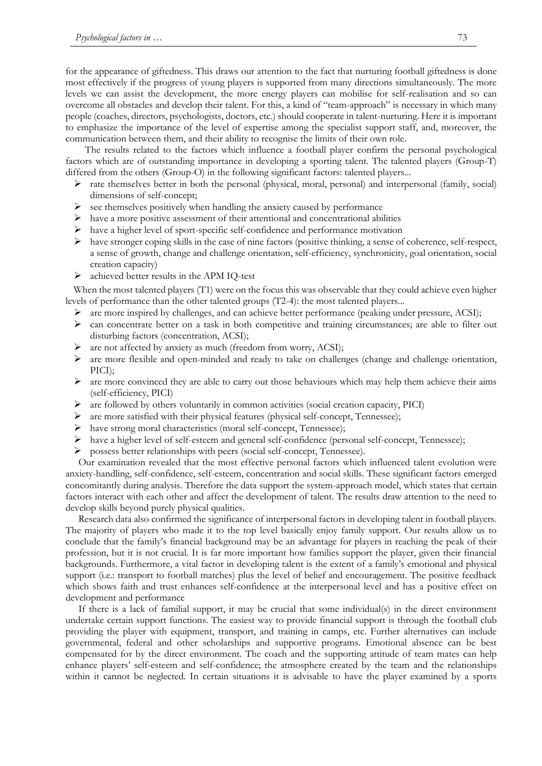for the appearance of giftedness. This draws our attention to the fact that nurturing football giftedness is done most effectively if the progress of young players is supported from many directions simultaneously. The more levels we can assist the development, the more energy players can mobilise for self-realisation and so can overcome all obstacles and develop their talent. For this, a kind of "team-approach" is necessary in which many people (coaches, directors, psychologists, doctors, etc.) should cooperate in talent-nurturing. Here it is important to emphasize the importance of the level of expertise among the specialist support staff, and, moreover, the communication between them, and their ability to recognise the limits of their own role.

The results related to the factors which influence a football player confirm the personal psychological factors which are of outstanding importance in developing a sporting talent. The talented players (Group-T) differed from the others (Group-O) in the following significant factors: talented players...

- $\triangleright$  rate themselves better in both the personal (physical, moral, personal) and interpersonal (family, social) dimensions of self-concept;
- $\triangleright$  see themselves positively when handling the anxiety caused by performance
- $\triangleright$  have a more positive assessment of their attentional and concentrational abilities
- have a higher level of sport-specific self-confidence and performance motivation
- $\triangleright$  have stronger coping skills in the case of nine factors (positive thinking, a sense of coherence, self-respect, a sense of growth, change and challenge orientation, self-efficiency, synchronicity, goal orientation, social creation capacity)
- $\triangleright$  achieved better results in the APM IQ-test

When the most talented players (T1) were on the focus this was observable that they could achieve even higher levels of performance than the other talented groups (T2-4): the most talented players...

- $\triangleright$  are more inspired by challenges, and can achieve better performance (peaking under pressure, ACSI);
- $\triangleright$  can concentrate better on a task in both competitive and training circumstances; are able to filter out disturbing factors (concentration, ACSI);
- are not affected by anxiety as much (freedom from worry, ACSI);
- $\triangleright$  are more flexible and open-minded and ready to take on challenges (change and challenge orientation, PICI);
- $\triangleright$  are more convinced they are able to carry out those behaviours which may help them achieve their aims (self-efficiency, PICI)
- $\triangleright$  are followed by others voluntarily in common activities (social creation capacity, PICI)
- are more satisfied with their physical features (physical self-concept, Tennessee);
- have strong moral characteristics (moral self-concept, Tennessee);
- have a higher level of self-esteem and general self-confidence (personal self-concept, Tennessee);
- possess better relationships with peers (social self-concept, Tennessee).

Our examination revealed that the most effective personal factors which influenced talent evolution were anxiety-handling, self-confidence, self-esteem, concentration and social skills. These significant factors emerged concomitantly during analysis. Therefore the data support the system-approach model, which states that certain factors interact with each other and affect the development of talent. The results draw attention to the need to develop skills beyond purely physical qualities.

Research data also confirmed the significance of interpersonal factors in developing talent in football players. The majority of players who made it to the top level basically enjoy family support. Our results allow us to conclude that the family's financial background may be an advantage for players in reaching the peak of their profession, but it is not crucial. It is far more important how families support the player, given their financial backgrounds. Furthermore, a vital factor in developing talent is the extent of a family's emotional and physical support (i.e.: transport to football matches) plus the level of belief and encouragement. The positive feedback which shows faith and trust enhances self-confidence at the interpersonal level and has a positive effect on development and performance

If there is a lack of familial support, it may be crucial that some individual(s) in the direct environment undertake certain support functions. The easiest way to provide financial support is through the football club providing the player with equipment, transport, and training in camps, etc. Further alternatives can include governmental, federal and other scholarships and supportive programs. Emotional absence can be best compensated for by the direct environment. The coach and the supporting attitude of team mates can help enhance players' self-esteem and self-confidence; the atmosphere created by the team and the relationships within it cannot be neglected. In certain situations it is advisable to have the player examined by a sports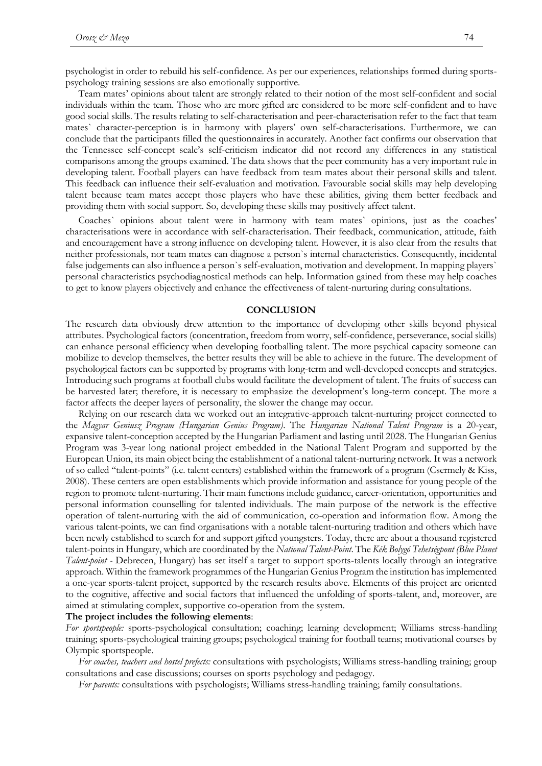psychologist in order to rebuild his self-confidence. As per our experiences, relationships formed during sportspsychology training sessions are also emotionally supportive.

Team mates' opinions about talent are strongly related to their notion of the most self-confident and social individuals within the team. Those who are more gifted are considered to be more self-confident and to have good social skills. The results relating to self-characterisation and peer-characterisation refer to the fact that team mates` character-perception is in harmony with players' own self-characterisations. Furthermore, we can conclude that the participants filled the questionnaires in accurately. Another fact confirms our observation that the Tennessee self-concept scale's self-criticism indicator did not record any differences in any statistical comparisons among the groups examined. The data shows that the peer community has a very important rule in developing talent. Football players can have feedback from team mates about their personal skills and talent. This feedback can influence their self-evaluation and motivation. Favourable social skills may help developing talent because team mates accept those players who have these abilities, giving them better feedback and providing them with social support. So, developing these skills may positively affect talent.

Coaches` opinions about talent were in harmony with team mates` opinions, just as the coaches' characterisations were in accordance with self-characterisation. Their feedback, communication, attitude, faith and encouragement have a strong influence on developing talent. However, it is also clear from the results that neither professionals, nor team mates can diagnose a person`s internal characteristics. Consequently, incidental false judgements can also influence a person`s self-evaluation, motivation and development. In mapping players` personal characteristics psychodiagnostical methods can help. Information gained from these may help coaches to get to know players objectively and enhance the effectiveness of talent-nurturing during consultations.

#### **CONCLUSION**

The research data obviously drew attention to the importance of developing other skills beyond physical attributes. Psychological factors (concentration, freedom from worry, self-confidence, perseverance, social skills) can enhance personal efficiency when developing footballing talent. The more psychical capacity someone can mobilize to develop themselves, the better results they will be able to achieve in the future. The development of psychological factors can be supported by programs with long-term and well-developed concepts and strategies. Introducing such programs at football clubs would facilitate the development of talent. The fruits of success can be harvested later; therefore, it is necessary to emphasize the development's long-term concept. The more a factor affects the deeper layers of personality, the slower the change may occur.

Relying on our research data we worked out an integrative-approach talent-nurturing project connected to the *Magyar Geniusz Program (Hungarian Genius Program)*. The *Hungarian National Talent Program* is a 20-year, expansive talent-conception accepted by the Hungarian Parliament and lasting until 2028. The Hungarian Genius Program was 3-year long national project embedded in the National Talent Program and supported by the European Union, its main object being the establishment of a national talent-nurturing network. It was a network of so called "talent-points" (i.e. talent centers) established within the framework of a program (Csermely & Kiss, 2008). These centers are open establishments which provide information and assistance for young people of the region to promote talent-nurturing. Their main functions include guidance, career-orientation, opportunities and personal information counselling for talented individuals. The main purpose of the network is the effective operation of talent-nurturing with the aid of communication, co-operation and information flow. Among the various talent-points, we can find organisations with a notable talent-nurturing tradition and others which have been newly established to search for and support gifted youngsters. Today, there are about a thousand registered talent-points in Hungary, which are coordinated by the *National Talent-Point*. The *Kék Bolygó Tehetségpont (Blue Planet Talent-point -* Debrecen, Hungary) has set itself a target to support sports-talents locally through an integrative approach. Within the framework programmes of the Hungarian Genius Program the institution has implemented a one-year sports-talent project, supported by the research results above. Elements of this project are oriented to the cognitive, affective and social factors that influenced the unfolding of sports-talent, and, moreover, are aimed at stimulating complex, supportive co-operation from the system.

#### **The project includes the following elements**:

*For sportspeople:* sports-psychological consultation; coaching; learning development; Williams stress-handling training; sports-psychological training groups; psychological training for football teams; motivational courses by Olympic sportspeople.

*For coaches, teachers and hostel prefects:* consultations with psychologists; Williams stress-handling training; group consultations and case discussions; courses on sports psychology and pedagogy.

*For parents:* consultations with psychologists; Williams stress-handling training; family consultations.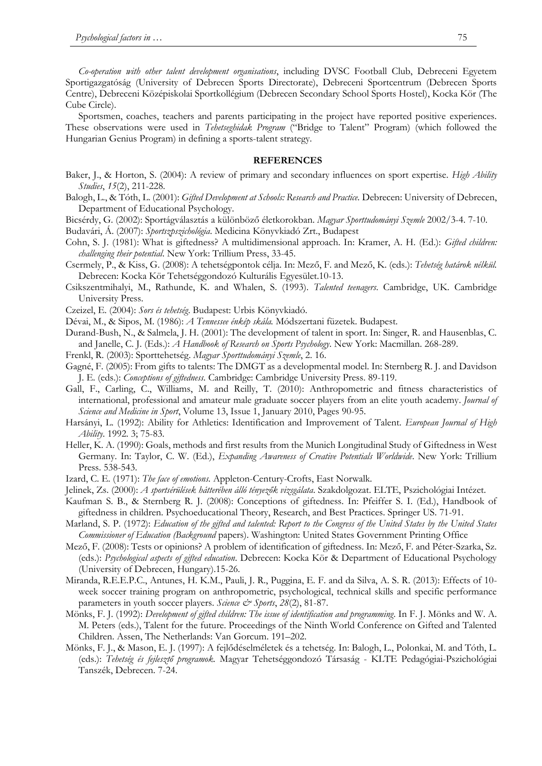*Co-operation with other talent development organisations*, including DVSC Football Club, Debreceni Egyetem Sportigazgatóság (University of Debrecen Sports Directorate), Debreceni Sportcentrum (Debrecen Sports Centre), Debreceni Középiskolai Sportkollégium (Debrecen Secondary School Sports Hostel), Kocka Kör (The Cube Circle).

Sportsmen, coaches, teachers and parents participating in the project have reported positive experiences. These observations were used in *Tehetseghidak Program* ("Bridge to Talent" Program) (which followed the Hungarian Genius Program) in defining a sports-talent strategy.

### **REFERENCES**

- Baker, J., & Horton, S. (2004): A review of primary and secondary influences on sport expertise. *High Ability Studies*, *15*(2), 211-228.
- Balogh, L., & Tóth, L. (2001): *Gifted Development at Schools: Research and Practice.* Debrecen: University of Debrecen, Department of Educational Psychology.
- Bicsérdy, G. (2002): Sportágválasztás a különböző életkorokban. *Magyar Sporttudományi Szemle* 2002/3-4. 7-10.
- Budavári, Á. (2007): *Sportszpszichológia*. Medicina Könyvkiadó Zrt., Budapest
- Cohn, S. J. (1981): What is giftedness? A multidimensional approach. In: Kramer, A. H. (Ed.): *Gifted children: challenging their potential*. New York: Trillium Press, 33-45.
- Csermely, P., & Kiss, G. (2008): A tehetségpontok célja. In: Mező, F. and Mező, K. (eds.): *Tehetség határok nélkül.* Debrecen: Kocka Kör Tehetséggondozó Kulturális Egyesület.10-13.
- Csikszentmihalyi, M., Rathunde, K. and Whalen, S. (1993). *Talented teenagers*. Cambridge, UK. Cambridge University Press.
- Czeizel, E. (2004): *Sors és tehetség*. Budapest: Urbis Könyvkiadó.
- Dévai, M., & Sipos, M. (1986): *A Tennessee énkép skála.* Módszertani füzetek. Budapest.
- Durand-Bush, N., & Salmela, J. H. (2001): The development of talent in sport. In: Singer, R. and Hausenblas, C. and Janelle, C. J. (Eds.): *A Handbook of Research on Sports Psychology*. New York: Macmillan. 268-289.
- Frenkl, R. (2003): Sporttehetség. *Magyar Sporttudományi Szemle*, 2. 16.
- Gagné, F. (2005): From gifts to talents: The DMGT as a developmental model. In: Sternberg R. J. and Davidson J. E. (eds.): *Conceptions of giftedness.* Cambridge: Cambridge University Press. 89-119.
- Gall, F., Carling, C., Williams, M. and Reilly, T. (2010): Anthropometric and fitness characteristics of international, professional and amateur male graduate soccer players from an elite youth academy. *Journal of Science and Medicine in Sport*, Volume 13, Issue 1, January 2010, Pages 90-95.
- Harsányi, L. (1992): Ability for Athletics: Identification and Improvement of Talent. *European Journal of High Ability*. 1992. 3; 75-83.
- Heller, K. A. (1990): Goals, methods and first results from the Munich Longitudinal Study of Giftedness in West Germany. In: Taylor, C. W. (Ed.), *Expanding Awareness of Creative Potentials Worldwide*. New York: Trillium Press. 538-543.
- Izard, C. E. (1971): *The face of emotions.* Appleton-Century-Crofts, East Norwalk.
- Jelinek, Zs. (2000): *A sportsérülések hátterében álló tényezők vizsgálata*. Szakdolgozat. ELTE, Pszichológiai Intézet.
- Kaufman S. B., & Sternberg R. J. (2008): Conceptions of giftedness. In: Pfeiffer S. I. (Ed.), Handbook of giftedness in children. Psychoeducational Theory, Research, and Best Practices. Springer US. 71-91.
- Marland, S. P. (1972): *Education of the gifted and talented: Report to the Congress of the United States by the United States Commissioner of Education (Background* papers). Washington: United States Government Printing Office
- Mező, F. (2008): Tests or opinions? A problem of identification of giftedness. In: Mező, F. and Péter-Szarka, Sz. (eds.): *Psychological aspects of gifted education*. Debrecen: Kocka Kör & Department of Educational Psychology (University of Debrecen, Hungary).15-26.
- Miranda, R.E.E.P.C., Antunes, H. K.M., Pauli, J. R., Puggina, E. F. and da Silva, A. S. R. (2013): Effects of 10 week soccer training program on anthropometric, psychological, technical skills and specific performance parameters in youth soccer players. *Science & Sports*, 28(2), 81-87.
- Mönks, F. J. (1992): *Development of gifted children: The issue of identification and programming*. In F. J. Mönks and W. A. M. Peters (eds.), Talent for the future. Proceedings of the Ninth World Conference on Gifted and Talented Children. Assen, The Netherlands: Van Gorcum. 191–202.
- Mönks, F. J., & Mason, E. J. (1997): A fejlődéselméletek és a tehetség. In: Balogh, L., Polonkai, M. and Tóth, L. (eds.): *Tehetség és fejlesztő programok.* Magyar Tehetséggondozó Társaság - KLTE Pedagógiai-Pszichológiai Tanszék, Debrecen. 7-24.